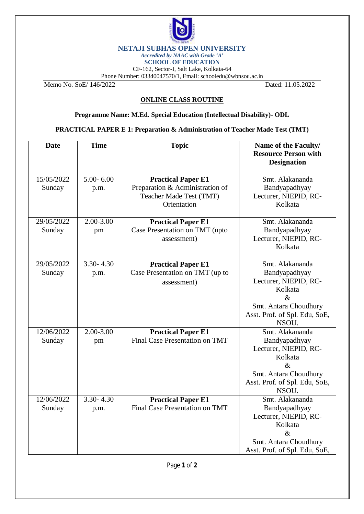

## **NETAJI SUBHAS OPEN UNIVERSITY**

*Accredited by NAAC with Grade 'A'* **SCHOOL OF EDUCATION**

CF-162, Sector-I, Salt Lake, Kolkata-64

Phone Number: 03340047570/1, Email: [schooledu@wbnsou.ac.in](mailto:schooledu@wbnsou.ac.in)

Memo No. SoE/ 146/2022 Dated: 11.05.2022

## **ONLINE CLASS ROUTINE**

**Programme Name: M.Ed. Special Education (Intellectual Disability)- ODL**

**PRACTICAL PAPER E 1: Preparation & Administration of Teacher Made Test (TMT)**

| <b>Date</b>          | <b>Time</b>           | <b>Topic</b>                                                                                           | Name of the Faculty/<br><b>Resource Person with</b><br><b>Designation</b>                                                                       |
|----------------------|-----------------------|--------------------------------------------------------------------------------------------------------|-------------------------------------------------------------------------------------------------------------------------------------------------|
| 15/05/2022<br>Sunday | $5.00 - 6.00$<br>p.m. | <b>Practical Paper E1</b><br>Preparation & Administration of<br>Teacher Made Test (TMT)<br>Orientation | Smt. Alakananda<br>Bandyapadhyay<br>Lecturer, NIEPID, RC-<br>Kolkata                                                                            |
| 29/05/2022<br>Sunday | 2.00-3.00<br>pm       | <b>Practical Paper E1</b><br>Case Presentation on TMT (upto<br>assessment)                             | Smt. Alakananda<br>Bandyapadhyay<br>Lecturer, NIEPID, RC-<br>Kolkata                                                                            |
| 29/05/2022<br>Sunday | $3.30 - 4.30$<br>p.m. | <b>Practical Paper E1</b><br>Case Presentation on TMT (up to<br>assessment)                            | Smt. Alakananda<br>Bandyapadhyay<br>Lecturer, NIEPID, RC-<br>Kolkata<br>$\&$<br>Smt. Antara Choudhury<br>Asst. Prof. of Spl. Edu, SoE,<br>NSOU. |
| 12/06/2022<br>Sunday | $2.00 - 3.00$<br>pm   | <b>Practical Paper E1</b><br><b>Final Case Presentation on TMT</b>                                     | Smt. Alakananda<br>Bandyapadhyay<br>Lecturer, NIEPID, RC-<br>Kolkata<br>$\&$<br>Smt. Antara Choudhury<br>Asst. Prof. of Spl. Edu, SoE,<br>NSOU. |
| 12/06/2022<br>Sunday | $3.30 - 4.30$<br>p.m. | <b>Practical Paper E1</b><br>Final Case Presentation on TMT                                            | Smt. Alakananda<br>Bandyapadhyay<br>Lecturer, NIEPID, RC-<br>Kolkata<br>$\&$<br>Smt. Antara Choudhury<br>Asst. Prof. of Spl. Edu, SoE,          |